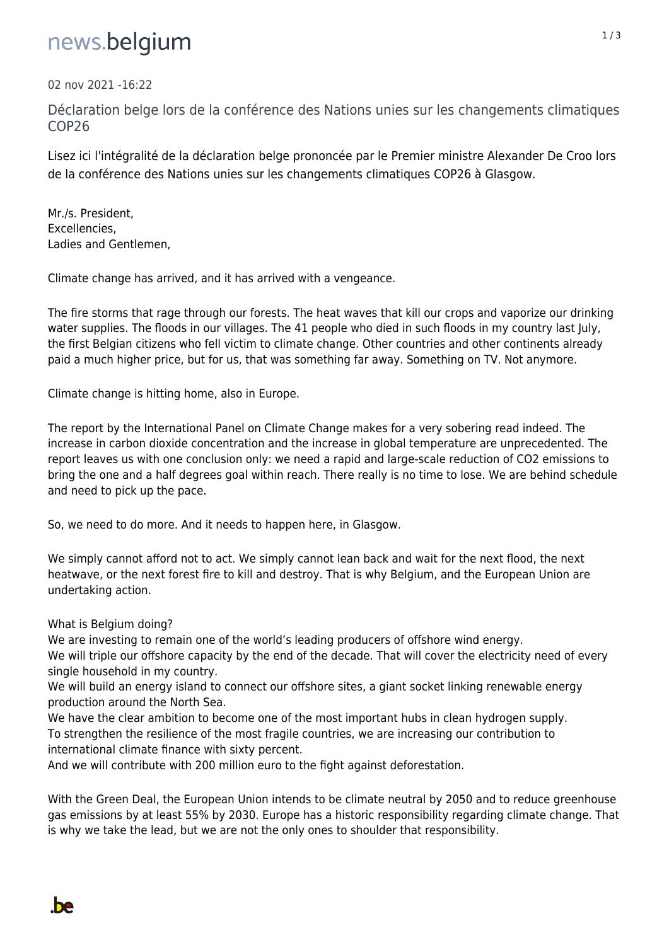## news.belgium

02 nov 2021 -16:22

Déclaration belge lors de la conférence des Nations unies sur les changements climatiques COP26

Lisez ici l'intégralité de la déclaration belge prononcée par le Premier ministre Alexander De Croo lors de la conférence des Nations unies sur les changements climatiques COP26 à Glasgow.

Mr./s. President, Excellencies, Ladies and Gentlemen,

Climate change has arrived, and it has arrived with a vengeance.

The fire storms that rage through our forests. The heat waves that kill our crops and vaporize our drinking water supplies. The floods in our villages. The 41 people who died in such floods in my country last July, the first Belgian citizens who fell victim to climate change. Other countries and other continents already paid a much higher price, but for us, that was something far away. Something on TV. Not anymore.

Climate change is hitting home, also in Europe.

The report by the International Panel on Climate Change makes for a very sobering read indeed. The increase in carbon dioxide concentration and the increase in global temperature are unprecedented. The report leaves us with one conclusion only: we need a rapid and large-scale reduction of CO2 emissions to bring the one and a half degrees goal within reach. There really is no time to lose. We are behind schedule and need to pick up the pace.

So, we need to do more. And it needs to happen here, in Glasgow.

We simply cannot afford not to act. We simply cannot lean back and wait for the next flood, the next heatwave, or the next forest fire to kill and destroy. That is why Belgium, and the European Union are undertaking action.

What is Belgium doing?

We are investing to remain one of the world's leading producers of offshore wind energy. We will triple our offshore capacity by the end of the decade. That will cover the electricity need of every single household in my country.

We will build an energy island to connect our offshore sites, a giant socket linking renewable energy production around the North Sea.

We have the clear ambition to become one of the most important hubs in clean hydrogen supply. To strengthen the resilience of the most fragile countries, we are increasing our contribution to international climate finance with sixty percent.

And we will contribute with 200 million euro to the fight against deforestation.

With the Green Deal, the European Union intends to be climate neutral by 2050 and to reduce greenhouse gas emissions by at least 55% by 2030. Europe has a historic responsibility regarding climate change. That is why we take the lead, but we are not the only ones to shoulder that responsibility.

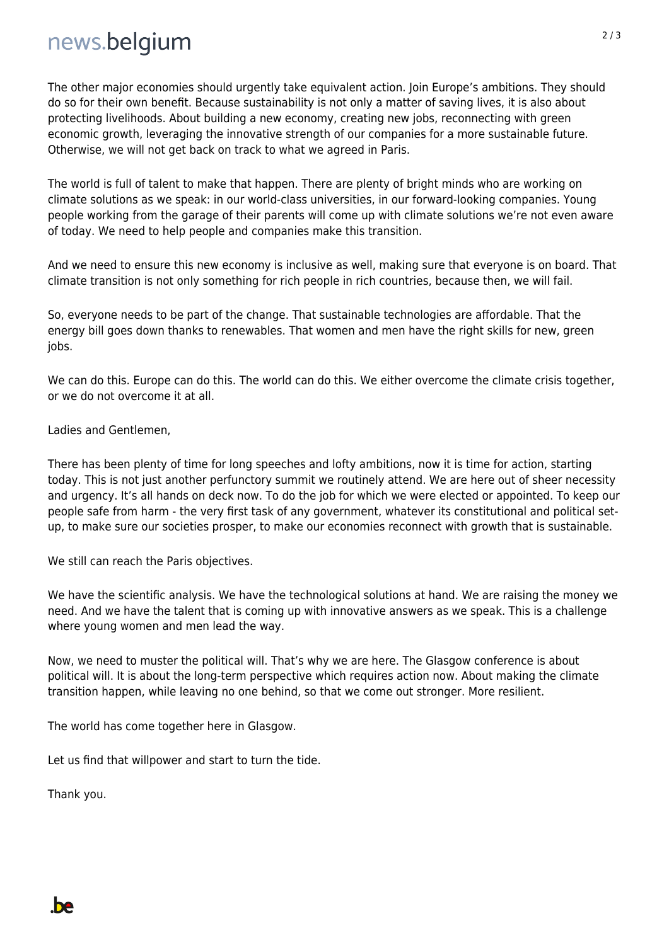## news.belqium

The other major economies should urgently take equivalent action. Join Europe's ambitions. They should do so for their own benefit. Because sustainability is not only a matter of saving lives, it is also about protecting livelihoods. About building a new economy, creating new jobs, reconnecting with green economic growth, leveraging the innovative strength of our companies for a more sustainable future. Otherwise, we will not get back on track to what we agreed in Paris.

The world is full of talent to make that happen. There are plenty of bright minds who are working on climate solutions as we speak: in our world-class universities, in our forward-looking companies. Young people working from the garage of their parents will come up with climate solutions we're not even aware of today. We need to help people and companies make this transition.

And we need to ensure this new economy is inclusive as well, making sure that everyone is on board. That climate transition is not only something for rich people in rich countries, because then, we will fail.

So, everyone needs to be part of the change. That sustainable technologies are affordable. That the energy bill goes down thanks to renewables. That women and men have the right skills for new, green jobs.

We can do this. Europe can do this. The world can do this. We either overcome the climate crisis together, or we do not overcome it at all.

Ladies and Gentlemen,

There has been plenty of time for long speeches and lofty ambitions, now it is time for action, starting today. This is not just another perfunctory summit we routinely attend. We are here out of sheer necessity and urgency. It's all hands on deck now. To do the job for which we were elected or appointed. To keep our people safe from harm - the very first task of any government, whatever its constitutional and political setup, to make sure our societies prosper, to make our economies reconnect with growth that is sustainable.

We still can reach the Paris objectives.

We have the scientific analysis. We have the technological solutions at hand. We are raising the money we need. And we have the talent that is coming up with innovative answers as we speak. This is a challenge where young women and men lead the way.

Now, we need to muster the political will. That's why we are here. The Glasgow conference is about political will. It is about the long-term perspective which requires action now. About making the climate transition happen, while leaving no one behind, so that we come out stronger. More resilient.

The world has come together here in Glasgow.

Let us find that willpower and start to turn the tide.

Thank you.

**be**